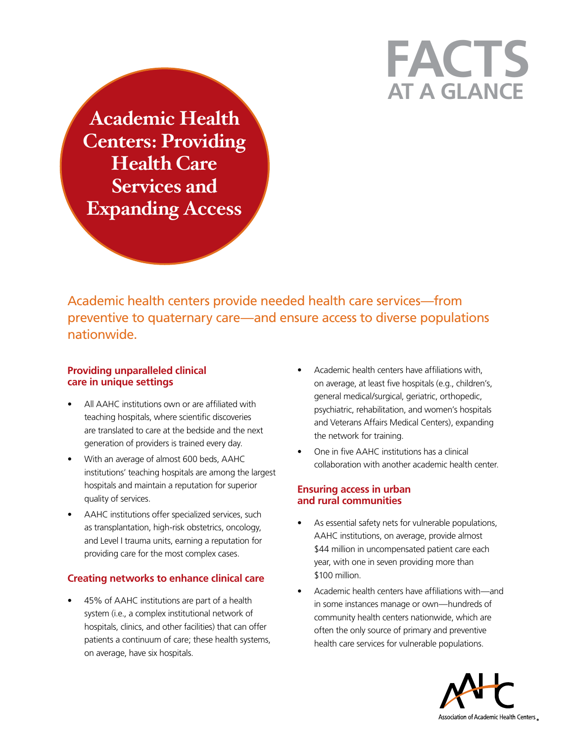# **at a Glance Facts**

**Academic Health Centers: Providing Health Care Services and Expanding Access**

Academic health centers provide needed health care services—from preventive to quaternary care—and ensure access to diverse populations nationwide.

## **Providing unparalleled clinical care in unique settings**

- All AAHC institutions own or are affiliated with teaching hospitals, where scientific discoveries are translated to care at the bedside and the next generation of providers is trained every day.
- With an average of almost 600 beds, AAHC institutions' teaching hospitals are among the largest hospitals and maintain a reputation for superior quality of services.
- AAHC institutions offer specialized services, such as transplantation, high-risk obstetrics, oncology, and Level I trauma units, earning a reputation for providing care for the most complex cases.

## **Creating networks to enhance clinical care**

45% of AAHC institutions are part of a health system (i.e., a complex institutional network of hospitals, clinics, and other facilities) that can offer patients a continuum of care; these health systems, on average, have six hospitals.

- Academic health centers have affiliations with, on average, at least five hospitals (e.g., children's, general medical/surgical, geriatric, orthopedic, psychiatric, rehabilitation, and women's hospitals and Veterans Affairs Medical Centers), expanding the network for training.
- One in five AAHC institutions has a clinical collaboration with another academic health center.

## **Ensuring access in urban and rural communities**

- As essential safety nets for vulnerable populations, AAHC institutions, on average, provide almost \$44 million in uncompensated patient care each year, with one in seven providing more than \$100 million.
- Academic health centers have affiliations with—and in some instances manage or own—hundreds of community health centers nationwide, which are often the only source of primary and preventive health care services for vulnerable populations.